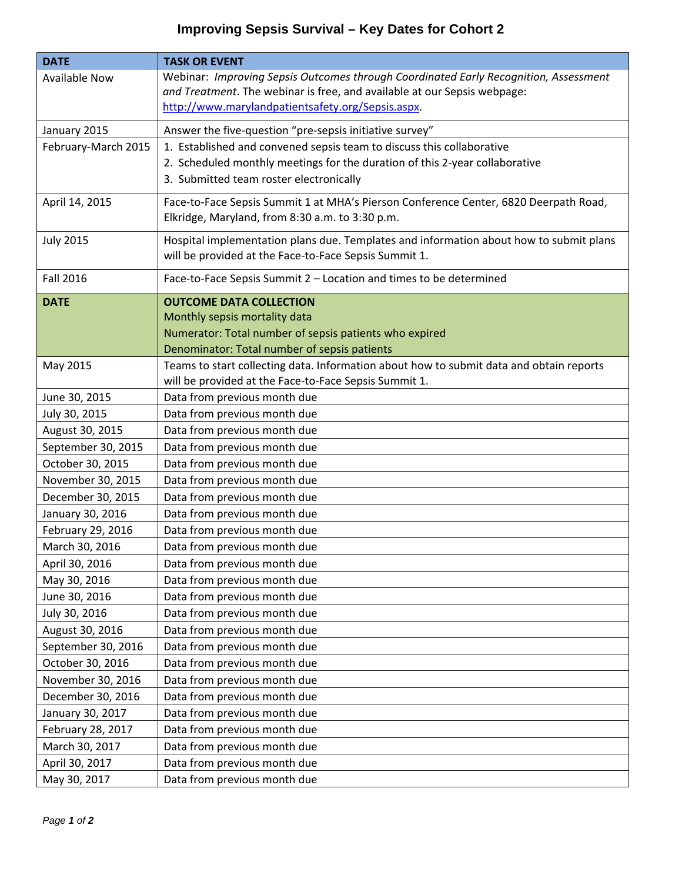## **Improving Sepsis Survival – Key Dates for Cohort 2**

| <b>DATE</b>          | <b>TASK OR EVENT</b>                                                                                                                                                                                                  |
|----------------------|-----------------------------------------------------------------------------------------------------------------------------------------------------------------------------------------------------------------------|
| <b>Available Now</b> | Webinar: Improving Sepsis Outcomes through Coordinated Early Recognition, Assessment<br>and Treatment. The webinar is free, and available at our Sepsis webpage:<br>http://www.marylandpatientsafety.org/Sepsis.aspx. |
| January 2015         | Answer the five-question "pre-sepsis initiative survey"                                                                                                                                                               |
| February-March 2015  | 1. Established and convened sepsis team to discuss this collaborative                                                                                                                                                 |
|                      | 2. Scheduled monthly meetings for the duration of this 2-year collaborative<br>3. Submitted team roster electronically                                                                                                |
| April 14, 2015       | Face-to-Face Sepsis Summit 1 at MHA's Pierson Conference Center, 6820 Deerpath Road,<br>Elkridge, Maryland, from 8:30 a.m. to 3:30 p.m.                                                                               |
| <b>July 2015</b>     | Hospital implementation plans due. Templates and information about how to submit plans<br>will be provided at the Face-to-Face Sepsis Summit 1.                                                                       |
| <b>Fall 2016</b>     | Face-to-Face Sepsis Summit 2 - Location and times to be determined                                                                                                                                                    |
| <b>DATE</b>          | <b>OUTCOME DATA COLLECTION</b>                                                                                                                                                                                        |
|                      | Monthly sepsis mortality data                                                                                                                                                                                         |
|                      | Numerator: Total number of sepsis patients who expired                                                                                                                                                                |
|                      | Denominator: Total number of sepsis patients                                                                                                                                                                          |
| May 2015             | Teams to start collecting data. Information about how to submit data and obtain reports<br>will be provided at the Face-to-Face Sepsis Summit 1.                                                                      |
| June 30, 2015        | Data from previous month due                                                                                                                                                                                          |
| July 30, 2015        | Data from previous month due                                                                                                                                                                                          |
| August 30, 2015      | Data from previous month due                                                                                                                                                                                          |
| September 30, 2015   | Data from previous month due                                                                                                                                                                                          |
| October 30, 2015     | Data from previous month due                                                                                                                                                                                          |
| November 30, 2015    | Data from previous month due                                                                                                                                                                                          |
| December 30, 2015    | Data from previous month due                                                                                                                                                                                          |
| January 30, 2016     | Data from previous month due                                                                                                                                                                                          |
| February 29, 2016    | Data from previous month due                                                                                                                                                                                          |
| March 30, 2016       | Data from previous month due                                                                                                                                                                                          |
| April 30, 2016       | Data from previous month due                                                                                                                                                                                          |
| May 30, 2016         | Data from previous month due                                                                                                                                                                                          |
| June 30, 2016        | Data from previous month due                                                                                                                                                                                          |
| July 30, 2016        | Data from previous month due                                                                                                                                                                                          |
| August 30, 2016      | Data from previous month due                                                                                                                                                                                          |
| September 30, 2016   | Data from previous month due                                                                                                                                                                                          |
| October 30, 2016     | Data from previous month due                                                                                                                                                                                          |
| November 30, 2016    | Data from previous month due                                                                                                                                                                                          |
| December 30, 2016    | Data from previous month due                                                                                                                                                                                          |
| January 30, 2017     | Data from previous month due                                                                                                                                                                                          |
| February 28, 2017    | Data from previous month due                                                                                                                                                                                          |
| March 30, 2017       | Data from previous month due                                                                                                                                                                                          |
| April 30, 2017       | Data from previous month due                                                                                                                                                                                          |
| May 30, 2017         | Data from previous month due                                                                                                                                                                                          |